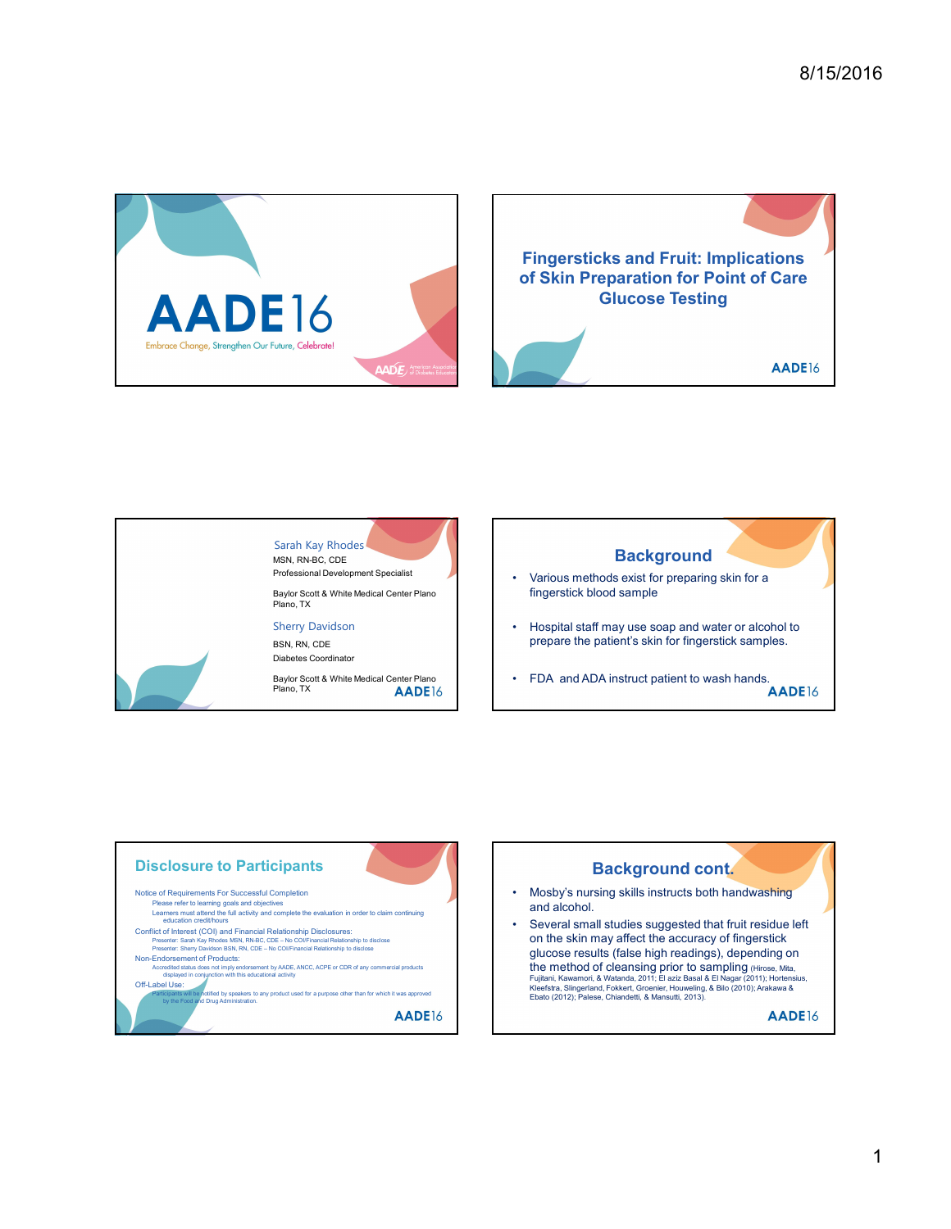





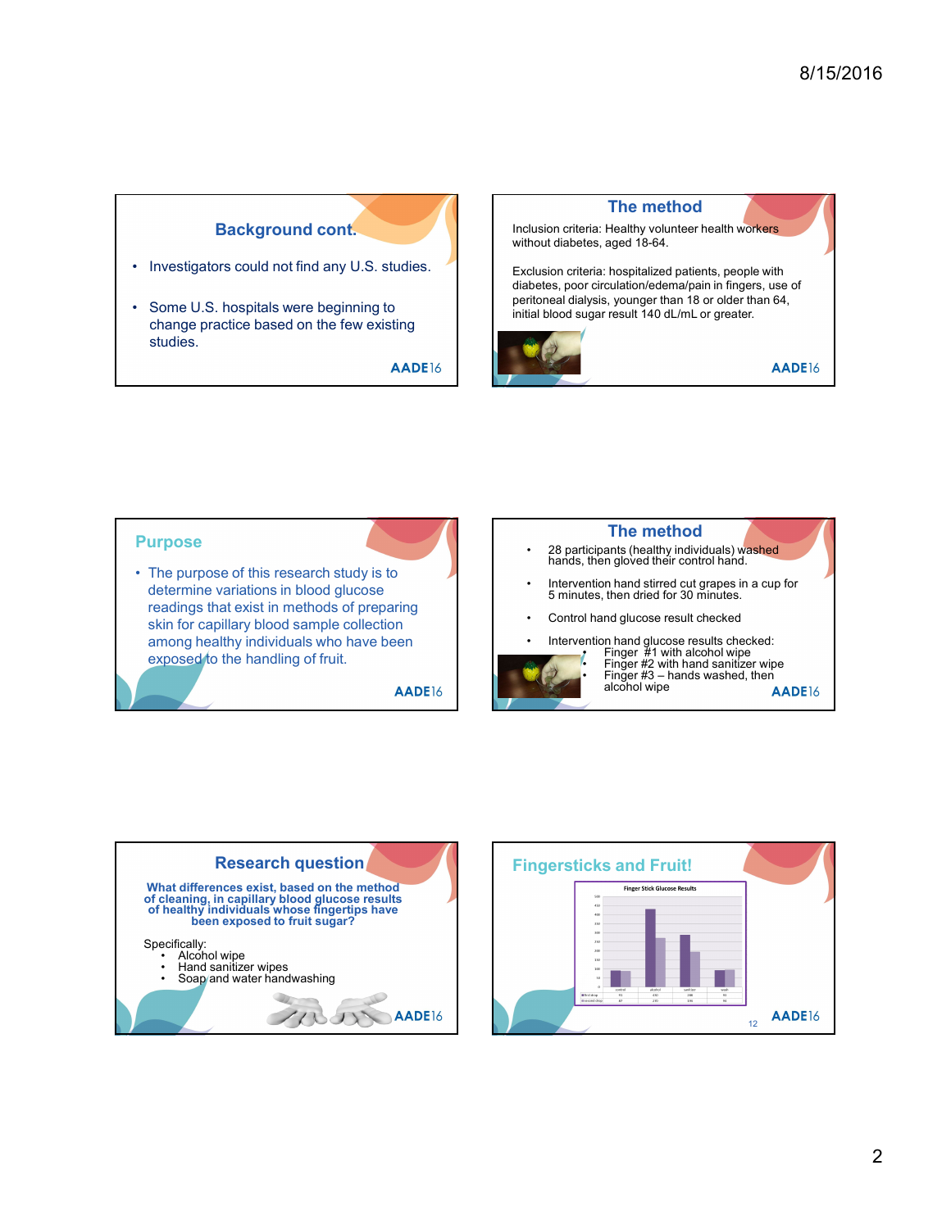## Background cont.

change practice based on the few existing studies.



## Purpose **Exclusion criteria:** Healthy without diabetes, aged 18-6<br>
Some U.S. hospitals were beginning to<br>
change practice based on the few existing<br>
studies.<br>
ADEI6<br>
Purpose<br>
• The purpose<br>
• The purpose<br>
• The purpose<br>
• The p determine variations in blood glucose readings that exist in methods of preparing<br>
eliminately and the consideration of the consideration of the consideration of the consideration of the consideration of the consideration of the consideration of the considerat skin for capillary blood sample collection among healthy individuals who have been<br>
and the bondling of fruit<br> **Alternative of the bondling of fruit**<br> **Alternative of the bondling of fruit**<br> **Alternative of the bondling of fruit**<br> **Alternative of the bondling of fr** exposed to the handling of fruit. e purpose of this research study is to<br>
telemine variations in blood glucose<br>
alcohol mands then dividuals who have been<br>
in for capillary blood sample collection<br>
mong healthy individuals who have been<br>
speed to the handl Fingersticks and Fruit and Simple Valuations in blood glucose<br>
Hereinine variations in blood glucose<br>
adings that exist in methods of preparing<br>
in for capillary blood sample collection<br>
none peathly individuals who have b e purpose of this research study is to the control and stirred to the second study is the direct of the finder of the control and glucose results in incredibly individuals who have been<br>non ghealthy individuals who have be The method 28 participants (healthy individuals) washed<br>hands, then gloved their control hand. Intervention hand stirred cut grapes in a cup for<br>5 minutes, then dried for 30 minutes. • Control Hand Hand Hand Hand Hand Hand School (The Math School Hand School Hand Band School Hand Band School Hand Band School Hand Band Hand School Hand Band Hand School Hand Hand School Hand Hand School Hand Hand School From the method of the method of the method behavior of the method behavior of the method of the method of the method of the method of the method of the method.<br>
The method of the method of the method of the method of the eta, hogetalized patients, people with<br>ericrulation/edema/pain in fingers, use of<br>lysis, younger than 18 or older than 64,<br> $q$ <br> $\begin{array}{|l|} \hline \textbf{A} & \textbf{A} & \textbf{B} & \textbf{C} \\ \hline \end{array}$ <br> **AADE16**<br>
<br> **EXECUTE ALCONSTANT CONSTANT CO** eria: hospitalized patients, people with<br>
reicrulation/edema/pain in fingers, use of<br>
ugar result 140 dL/mL or greater.<br>
<br>
<br>
<br> **AADE16**<br>
<br>
<br>
<br> **EXELVENTE THE MORE CONTEXANT AND CONTEXANT AND CONTEXANT AND AND AND AND AND A** erai: hospitalized patients, people with<br>the circulation/edema/pain in fingers, use of<br>ylsis, younger than 18 or older than 64,<br>yagr result 140 dL/mL or greater.<br><br>**AADE**16<br>**AADE16**<br>**AADE16**<br>then glouces result checked<br>then alcohol wipe